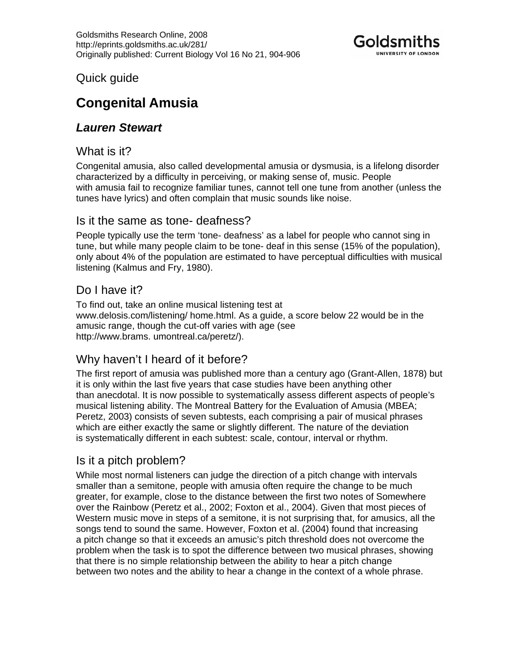

# Quick guide

# **Congenital Amusia**

# *Lauren Stewart*

### What is it?

Congenital amusia, also called developmental amusia or dysmusia, is a lifelong disorder characterized by a difficulty in perceiving, or making sense of, music. People with amusia fail to recognize familiar tunes, cannot tell one tune from another (unless the tunes have lyrics) and often complain that music sounds like noise.

### Is it the same as tone- deafness?

People typically use the term 'tone- deafness' as a label for people who cannot sing in tune, but while many people claim to be tone- deaf in this sense (15% of the population), only about 4% of the population are estimated to have perceptual difficulties with musical listening (Kalmus and Fry, 1980).

# Do I have it?

To find out, take an online musical listening test at www.delosis.com/listening/ home.html. As a guide, a score below 22 would be in the amusic range, though the cut-off varies with age (see http://www.brams. umontreal.ca/peretz/).

# Why haven't I heard of it before?

The first report of amusia was published more than a century ago (Grant-Allen, 1878) but it is only within the last five years that case studies have been anything other than anecdotal. It is now possible to systematically assess different aspects of people's musical listening ability. The Montreal Battery for the Evaluation of Amusia (MBEA; Peretz, 2003) consists of seven subtests, each comprising a pair of musical phrases which are either exactly the same or slightly different. The nature of the deviation is systematically different in each subtest: scale, contour, interval or rhythm.

# Is it a pitch problem?

While most normal listeners can judge the direction of a pitch change with intervals smaller than a semitone, people with amusia often require the change to be much greater, for example, close to the distance between the first two notes of Somewhere over the Rainbow (Peretz et al., 2002; Foxton et al., 2004). Given that most pieces of Western music move in steps of a semitone, it is not surprising that, for amusics, all the songs tend to sound the same. However, Foxton et al. (2004) found that increasing a pitch change so that it exceeds an amusic's pitch threshold does not overcome the problem when the task is to spot the difference between two musical phrases, showing that there is no simple relationship between the ability to hear a pitch change between two notes and the ability to hear a change in the context of a whole phrase.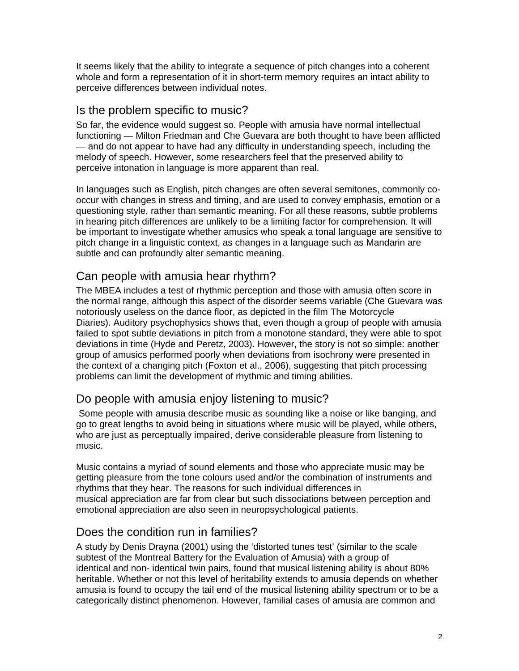It seems likely that the ability to integrate a sequence of pitch changes into a coherent whole and form a representation of it in short-term memory requires an intact ability to perceive differences between individual notes.

#### Is the problem specific to music?

So far, the evidence would suggest so. People with amusia have normal intellectual functioning — Milton Friedman and Che Guevara are both thought to have been afflicted — and do not appear to have had any difficulty in understanding speech, including the melody of speech. However, some researchers feel that the preserved ability to perceive intonation in language is more apparent than real.

In languages such as English, pitch changes are often several semitones, commonly cooccur with changes in stress and timing, and are used to convey emphasis, emotion or a questioning style, rather than semantic meaning. For all these reasons, subtle problems in hearing pitch differences are unlikely to be a limiting factor for comprehension. It will be important to investigate whether amusics who speak a tonal language are sensitive to pitch change in a linguistic context, as changes in a language such as Mandarin are subtle and can profoundly alter semantic meaning.

# Can people with amusia hear rhythm?

The MBEA includes a test of rhythmic perception and those with amusia often score in the normal range, although this aspect of the disorder seems variable (Che Guevara was notoriously useless on the dance floor, as depicted in the film The Motorcycle Diaries). Auditory psychophysics shows that, even though a group of people with amusia failed to spot subtle deviations in pitch from a monotone standard, they were able to spot deviations in time (Hyde and Peretz, 2003). However, the story is not so simple: another group of amusics performed poorly when deviations from isochrony were presented in the context of a changing pitch (Foxton et al., 2006), suggesting that pitch processing problems can limit the development of rhythmic and timing abilities.

### Do people with amusia enjoy listening to music?

 Some people with amusia describe music as sounding like a noise or like banging, and go to great lengths to avoid being in situations where music will be played, while others, who are just as perceptually impaired, derive considerable pleasure from listening to music.

Music contains a myriad of sound elements and those who appreciate music may be getting pleasure from the tone colours used and/or the combination of instruments and rhythms that they hear. The reasons for such individual differences in musical appreciation are far from clear but such dissociations between perception and emotional appreciation are also seen in neuropsychological patients.

### Does the condition run in families?

A study by Denis Drayna (2001) using the 'distorted tunes test' (similar to the scale subtest of the Montreal Battery for the Evaluation of Amusia) with a group of identical and non- identical twin pairs, found that musical listening ability is about 80% heritable. Whether or not this level of heritability extends to amusia depends on whether amusia is found to occupy the tail end of the musical listening ability spectrum or to be a categorically distinct phenomenon. However, familial cases of amusia are common and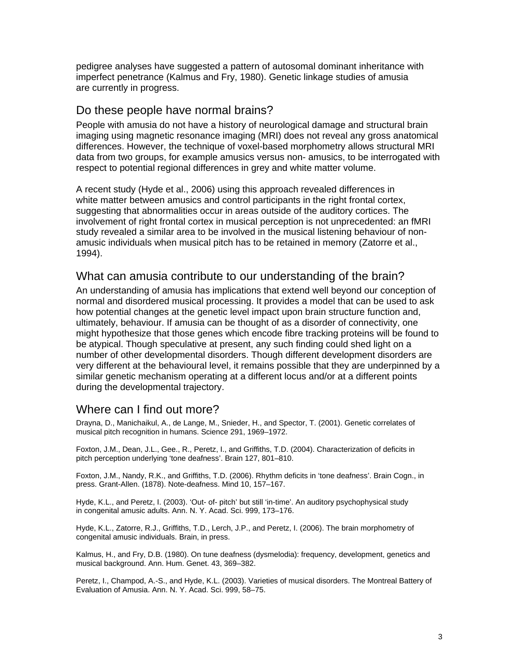pedigree analyses have suggested a pattern of autosomal dominant inheritance with imperfect penetrance (Kalmus and Fry, 1980). Genetic linkage studies of amusia are currently in progress.

#### Do these people have normal brains?

People with amusia do not have a history of neurological damage and structural brain imaging using magnetic resonance imaging (MRI) does not reveal any gross anatomical differences. However, the technique of voxel-based morphometry allows structural MRI data from two groups, for example amusics versus non- amusics, to be interrogated with respect to potential regional differences in grey and white matter volume.

A recent study (Hyde et al., 2006) using this approach revealed differences in white matter between amusics and control participants in the right frontal cortex, suggesting that abnormalities occur in areas outside of the auditory cortices. The involvement of right frontal cortex in musical perception is not unprecedented: an fMRI study revealed a similar area to be involved in the musical listening behaviour of nonamusic individuals when musical pitch has to be retained in memory (Zatorre et al., 1994).

### What can amusia contribute to our understanding of the brain?

An understanding of amusia has implications that extend well beyond our conception of normal and disordered musical processing. It provides a model that can be used to ask how potential changes at the genetic level impact upon brain structure function and, ultimately, behaviour. If amusia can be thought of as a disorder of connectivity, one might hypothesize that those genes which encode fibre tracking proteins will be found to be atypical. Though speculative at present, any such finding could shed light on a number of other developmental disorders. Though different development disorders are very different at the behavioural level, it remains possible that they are underpinned by a similar genetic mechanism operating at a different locus and/or at a different points during the developmental trajectory.

# Where can I find out more?

Drayna, D., Manichaikul, A., de Lange, M., Snieder, H., and Spector, T. (2001). Genetic correlates of musical pitch recognition in humans. Science 291, 1969–1972.

Foxton, J.M., Dean, J.L., Gee., R., Peretz, I., and Griffiths, T.D. (2004). Characterization of deficits in pitch perception underlying 'tone deafness'. Brain 127, 801–810.

Foxton, J.M., Nandy, R.K., and Griffiths, T.D. (2006). Rhythm deficits in 'tone deafness'. Brain Cogn., in press. Grant-Allen. (1878). Note-deafness. Mind 10, 157–167.

Hyde, K.L., and Peretz, I. (2003). 'Out- of- pitch' but still 'in-time'. An auditory psychophysical study in congenital amusic adults. Ann. N. Y. Acad. Sci. 999, 173–176.

Hyde, K.L., Zatorre, R.J., Griffiths, T.D., Lerch, J.P., and Peretz, I. (2006). The brain morphometry of congenital amusic individuals. Brain, in press.

Kalmus, H., and Fry, D.B. (1980). On tune deafness (dysmelodia): frequency, development, genetics and musical background. Ann. Hum. Genet. 43, 369–382.

Peretz, I., Champod, A.-S., and Hyde, K.L. (2003). Varieties of musical disorders. The Montreal Battery of Evaluation of Amusia. Ann. N. Y. Acad. Sci. 999, 58–75.